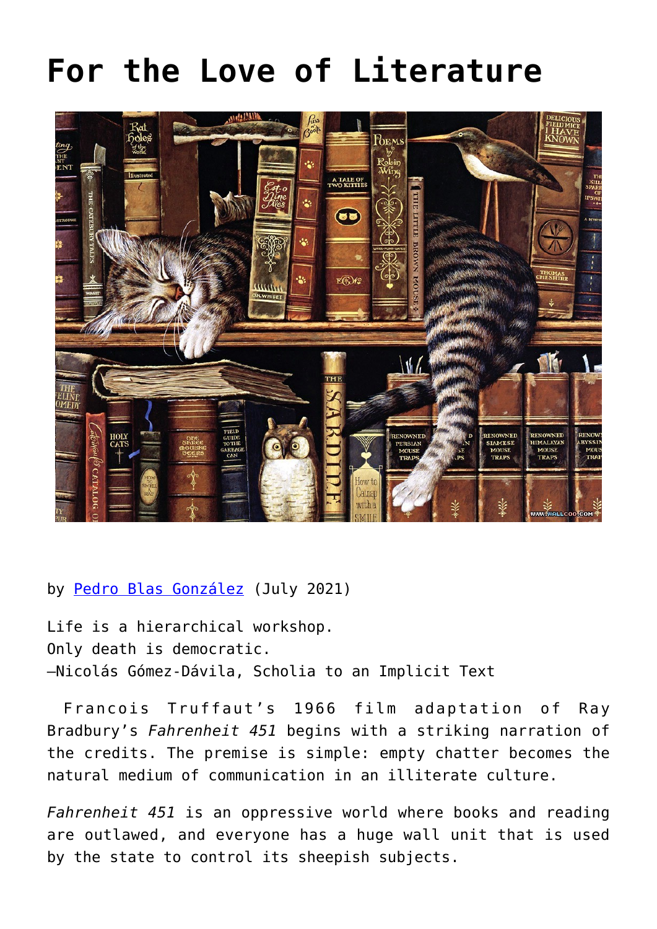## **[For the Love of Literature](https://www.newenglishreview.org/articles/for-the-love-of-literature/)**



## by [Pedro Blas González](https://www.newenglishreview.org/authors/pedro-blas-gonzalez/?) (July 2021)

Life is a hierarchical workshop. Only death is democratic. –Nicolás Gómez-Dávila, Scholia to an Implicit Text

Francois Truffaut's 1966 film adaptation of Ray Bradbury's *Fahrenheit 451* begins with a striking narration of the credits. The premise is simple: empty chatter becomes the natural medium of communication in an illiterate culture.

*Fahrenheit 451* is an oppressive world where books and reading are outlawed, and everyone has a huge wall unit that is used by the state to control its sheepish subjects.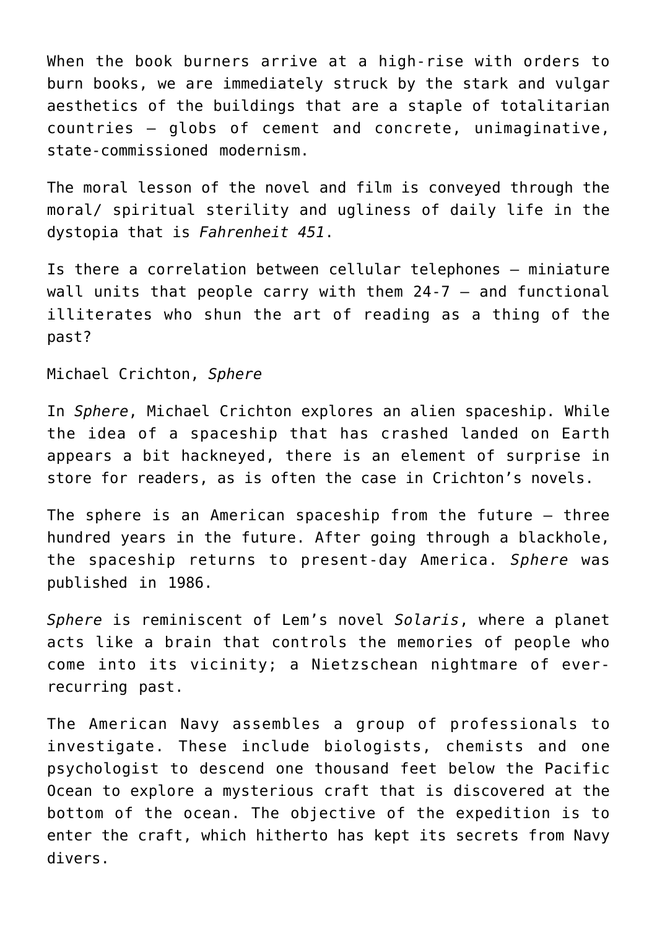When the book burners arrive at a high-rise with orders to burn books, we are immediately struck by the stark and vulgar aesthetics of the buildings that are a staple of totalitarian countries — globs of cement and concrete, unimaginative, state-commissioned modernism.

The moral lesson of the novel and film is conveyed through the moral/ spiritual sterility and ugliness of daily life in the dystopia that is *Fahrenheit 451*.

Is there a correlation between cellular telephones – miniature wall units that people carry with them 24-7 – and functional illiterates who shun the art of reading as a thing of the past?

Michael Crichton, *Sphere*

In *Sphere*, Michael Crichton explores an alien spaceship. While the idea of a spaceship that has crashed landed on Earth appears a bit hackneyed, there is an element of surprise in store for readers, as is often the case in Crichton's novels.

The sphere is an American spaceship from the future – three hundred years in the future. After going through a blackhole, the spaceship returns to present-day America. *Sphere* was published in 1986.

*Sphere* is reminiscent of Lem's novel *Solaris*, where a planet acts like a brain that controls the memories of people who come into its vicinity; a Nietzschean nightmare of everrecurring past.

The American Navy assembles a group of professionals to investigate. These include biologists, chemists and one psychologist to descend one thousand feet below the Pacific Ocean to explore a mysterious craft that is discovered at the bottom of the ocean. The objective of the expedition is to enter the craft, which hitherto has kept its secrets from Navy divers.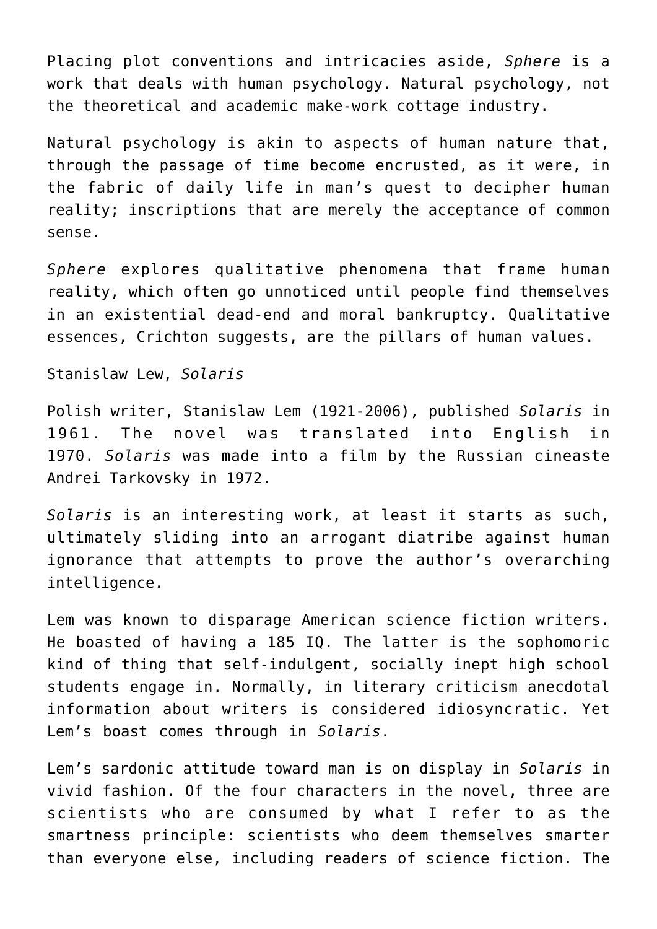Placing plot conventions and intricacies aside, *Sphere* is a work that deals with human psychology. Natural psychology, not the theoretical and academic make-work cottage industry.

Natural psychology is akin to aspects of human nature that, through the passage of time become encrusted, as it were, in the fabric of daily life in man's quest to decipher human reality; inscriptions that are merely the acceptance of common sense.

*Sphere* explores qualitative phenomena that frame human reality, which often go unnoticed until people find themselves in an existential dead-end and moral bankruptcy. Qualitative essences, Crichton suggests, are the pillars of human values.

Stanislaw Lew, *Solaris*

Polish writer, Stanislaw Lem (1921-2006), published *Solaris* in 1961. The novel was translated into English in 1970. *Solaris* was made into a film by the Russian cineaste Andrei Tarkovsky in 1972.

*Solaris* is an interesting work, at least it starts as such, ultimately sliding into an arrogant diatribe against human ignorance that attempts to prove the author's overarching intelligence.

Lem was known to disparage American science fiction writers. He boasted of having a 185 IQ. The latter is the sophomoric kind of thing that self-indulgent, socially inept high school students engage in. Normally, in literary criticism anecdotal information about writers is considered idiosyncratic. Yet Lem's boast comes through in *Solaris*.

Lem's sardonic attitude toward man is on display in *Solaris* in vivid fashion. Of the four characters in the novel, three are scientists who are consumed by what I refer to as the smartness principle: scientists who deem themselves smarter than everyone else, including readers of science fiction. The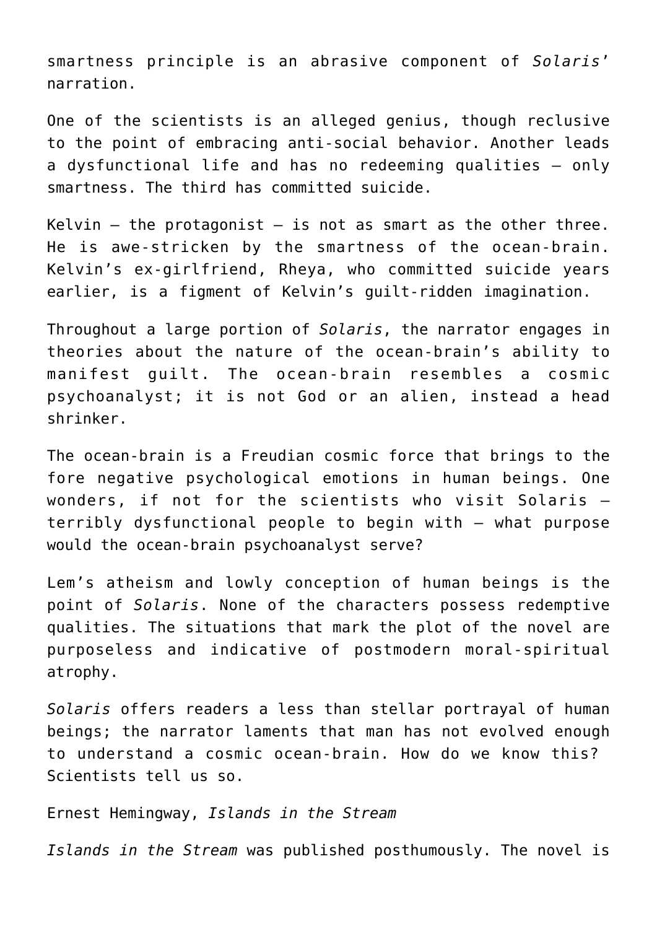smartness principle is an abrasive component of *Solaris*' narration.

One of the scientists is an alleged genius, though reclusive to the point of embracing anti-social behavior. Another leads a dysfunctional life and has no redeeming qualities – only smartness. The third has committed suicide.

Kelvin  $-$  the protagonist  $-$  is not as smart as the other three. He is awe-stricken by the smartness of the ocean-brain. Kelvin's ex-girlfriend, Rheya, who committed suicide years earlier, is a figment of Kelvin's guilt-ridden imagination.

Throughout a large portion of *Solaris*, the narrator engages in theories about the nature of the ocean-brain's ability to manifest guilt. The ocean-brain resembles a cosmic psychoanalyst; it is not God or an alien, instead a head shrinker.

The ocean-brain is a Freudian cosmic force that brings to the fore negative psychological emotions in human beings. One wonders, if not for the scientists who visit Solaris – terribly dysfunctional people to begin with – what purpose would the ocean-brain psychoanalyst serve?

Lem's atheism and lowly conception of human beings is the point of *Solaris*. None of the characters possess redemptive qualities. The situations that mark the plot of the novel are purposeless and indicative of postmodern moral-spiritual atrophy.

*Solaris* offers readers a less than stellar portrayal of human beings; the narrator laments that man has not evolved enough to understand a cosmic ocean-brain. How do we know this? Scientists tell us so.

Ernest Hemingway, *Islands in the Stream*

*Islands in the Stream* was published posthumously. The novel is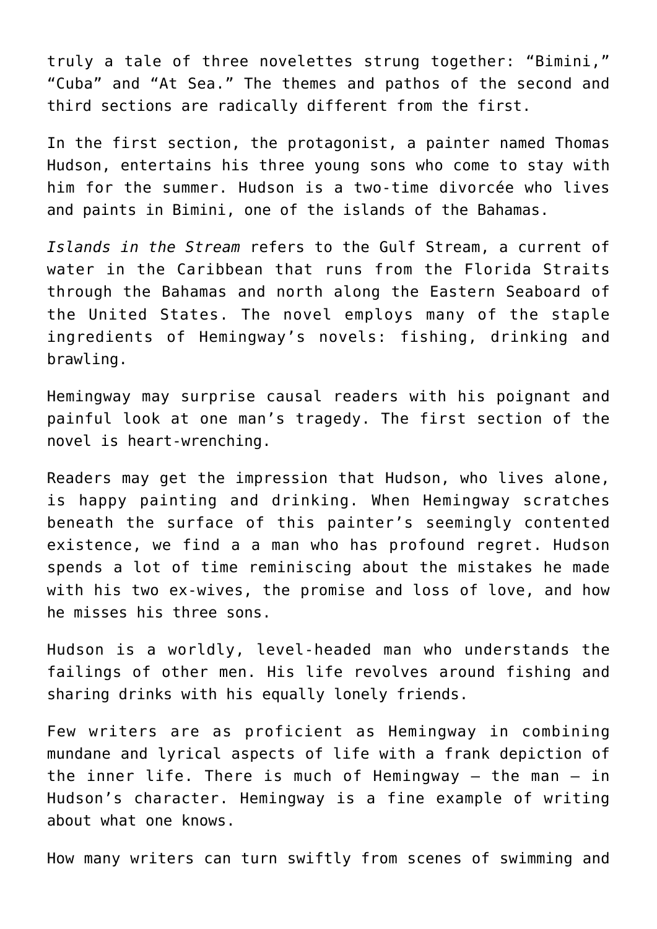truly a tale of three novelettes strung together: "Bimini," "Cuba" and "At Sea." The themes and pathos of the second and third sections are radically different from the first.

In the first section, the protagonist, a painter named Thomas Hudson, entertains his three young sons who come to stay with him for the summer. Hudson is a two-time divorcée who lives and paints in Bimini, one of the islands of the Bahamas.

*Islands in the Stream* refers to the Gulf Stream, a current of water in the Caribbean that runs from the Florida Straits through the Bahamas and north along the Eastern Seaboard of the United States. The novel employs many of the staple ingredients of Hemingway's novels: fishing, drinking and brawling.

Hemingway may surprise causal readers with his poignant and painful look at one man's tragedy. The first section of the novel is heart-wrenching.

Readers may get the impression that Hudson, who lives alone, is happy painting and drinking. When Hemingway scratches beneath the surface of this painter's seemingly contented existence, we find a a man who has profound regret. Hudson spends a lot of time reminiscing about the mistakes he made with his two ex-wives, the promise and loss of love, and how he misses his three sons.

Hudson is a worldly, level-headed man who understands the failings of other men. His life revolves around fishing and sharing drinks with his equally lonely friends.

Few writers are as proficient as Hemingway in combining mundane and lyrical aspects of life with a frank depiction of the inner life. There is much of Hemingway – the man – in Hudson's character. Hemingway is a fine example of writing about what one knows.

How many writers can turn swiftly from scenes of swimming and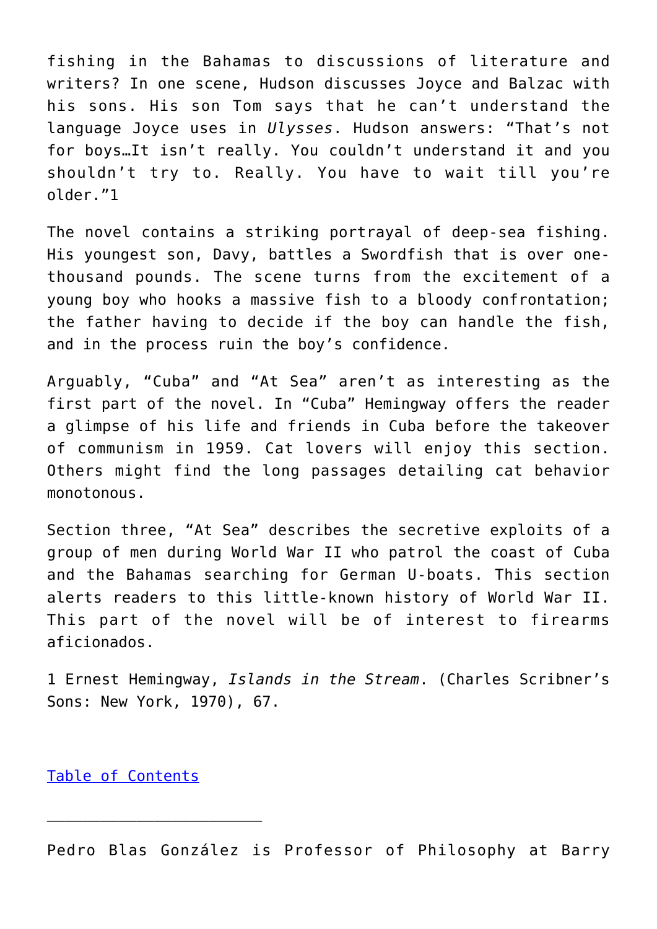fishing in the Bahamas to discussions of literature and writers? In one scene, Hudson discusses Joyce and Balzac with his sons. His son Tom says that he can't understand the language Joyce uses in *Ulysses*. Hudson answers: "That's not for boys…It isn't really. You couldn't understand it and you shouldn't try to. Really. You have to wait till you're older."1

The novel contains a striking portrayal of deep-sea fishing. His youngest son, Davy, battles a Swordfish that is over onethousand pounds. The scene turns from the excitement of a young boy who hooks a massive fish to a bloody confrontation; the father having to decide if the boy can handle the fish, and in the process ruin the boy's confidence.

Arguably, "Cuba" and "At Sea" aren't as interesting as the first part of the novel. In "Cuba" Hemingway offers the reader a glimpse of his life and friends in Cuba before the takeover of communism in 1959. Cat lovers will enjoy this section. Others might find the long passages detailing cat behavior monotonous.

Section three, "At Sea" describes the secretive exploits of a group of men during World War II who patrol the coast of Cuba and the Bahamas searching for German U-boats. This section alerts readers to this little-known history of World War II. This part of the novel will be of interest to firearms aficionados.

1 Ernest Hemingway, *Islands in the Stream*. (Charles Scribner's Sons: New York, 1970), 67.

[Table of Contents](https://www.newenglishreview.org/)

Pedro Blas González is Professor of Philosophy at Barry